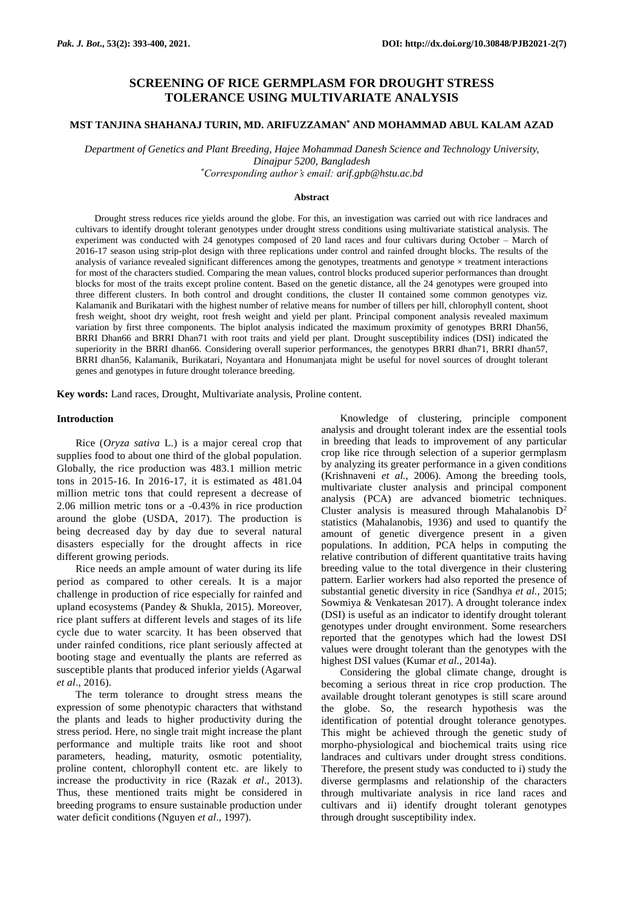# **SCREENING OF RICE GERMPLASM FOR DROUGHT STRESS TOLERANCE USING MULTIVARIATE ANALYSIS**

## **MST TANJINA SHAHANAJ TURIN, MD. ARIFUZZAMAN\* AND MOHAMMAD ABUL KALAM AZAD**

*Department of Genetics and Plant Breeding, Hajee Mohammad Danesh Science and Technology University, Dinajpur 5200, Bangladesh*

*\*Corresponding author's email: arif.gpb@hstu.ac.bd*

#### **Abstract**

Drought stress reduces rice yields around the globe. For this, an investigation was carried out with rice landraces and cultivars to identify drought tolerant genotypes under drought stress conditions using multivariate statistical analysis. The experiment was conducted with 24 genotypes composed of 20 land races and four cultivars during October – March of 2016-17 season using strip-plot design with three replications under control and rainfed drought blocks. The results of the analysis of variance revealed significant differences among the genotypes, treatments and genotype  $\times$  treatment interactions for most of the characters studied. Comparing the mean values, control blocks produced superior performances than drought blocks for most of the traits except proline content. Based on the genetic distance, all the 24 genotypes were grouped into three different clusters. In both control and drought conditions, the cluster II contained some common genotypes viz. Kalamanik and Burikatari with the highest number of relative means for number of tillers per hill, chlorophyll content, shoot fresh weight, shoot dry weight, root fresh weight and yield per plant. Principal component analysis revealed maximum variation by first three components. The biplot analysis indicated the maximum proximity of genotypes BRRI Dhan56, BRRI Dhan66 and BRRI Dhan71 with root traits and yield per plant. Drought susceptibility indices (DSI) indicated the superiority in the BRRI dhan66. Considering overall superior performances, the genotypes BRRI dhan71, BRRI dhan57, BRRI dhan56, Kalamanik, Burikatari, Noyantara and Honumanjata might be useful for novel sources of drought tolerant genes and genotypes in future drought tolerance breeding.

**Key words:** Land races, Drought, Multivariate analysis, Proline content.

#### **Introduction**

Rice (*Oryza sativa* L.) is a major cereal crop that supplies food to about one third of the global population. Globally, the rice production was 483.1 million metric tons in 2015-16. In 2016-17, it is estimated as 481.04 million metric tons that could represent a decrease of 2.06 million metric tons or a -0.43% in rice production around the globe (USDA, 2017). The production is being decreased day by day due to several natural disasters especially for the drought affects in rice different growing periods.

Rice needs an ample amount of water during its life period as compared to other cereals. It is a major challenge in production of rice especially for rainfed and upland ecosystems (Pandey & Shukla, 2015). Moreover, rice plant suffers at different levels and stages of its life cycle due to water scarcity. It has been observed that under rainfed conditions, rice plant seriously affected at booting stage and eventually the plants are referred as susceptible plants that produced inferior yields (Agarwal *et al*., 2016).

The term tolerance to drought stress means the expression of some phenotypic characters that withstand the plants and leads to higher productivity during the stress period. Here, no single trait might increase the plant performance and multiple traits like root and shoot parameters, heading, maturity, osmotic potentiality, proline content, chlorophyll content etc. are likely to increase the productivity in rice (Razak *et al*., 2013). Thus, these mentioned traits might be considered in breeding programs to ensure sustainable production under water deficit conditions (Nguyen *et al*., 1997).

Knowledge of clustering, principle component analysis and drought tolerant index are the essential tools in breeding that leads to improvement of any particular crop like rice through selection of a superior germplasm by analyzing its greater performance in a given conditions (Krishnaveni *et al.*, 2006). Among the breeding tools, multivariate cluster analysis and principal component analysis (PCA) are advanced biometric techniques. Cluster analysis is measured through Mahalanobis  $D^2$ statistics (Mahalanobis, 1936) and used to quantify the amount of genetic divergence present in a given populations. In addition, PCA helps in computing the relative contribution of different quantitative traits having breeding value to the total divergence in their clustering pattern. Earlier workers had also reported the presence of substantial genetic diversity in rice (Sandhya *et al.*, 2015; Sowmiya & Venkatesan 2017). A drought tolerance index (DSI) is useful as an indicator to identify drought tolerant genotypes under drought environment. Some researchers reported that the genotypes which had the lowest DSI values were drought tolerant than the genotypes with the highest DSI values (Kumar *et al.*, 2014a).

Considering the global climate change, drought is becoming a serious threat in rice crop production. The available drought tolerant genotypes is still scare around the globe. So, the research hypothesis was the identification of potential drought tolerance genotypes. This might be achieved through the genetic study of morpho-physiological and biochemical traits using rice landraces and cultivars under drought stress conditions. Therefore, the present study was conducted to i) study the diverse germplasms and relationship of the characters through multivariate analysis in rice land races and cultivars and ii) identify drought tolerant genotypes through drought susceptibility index.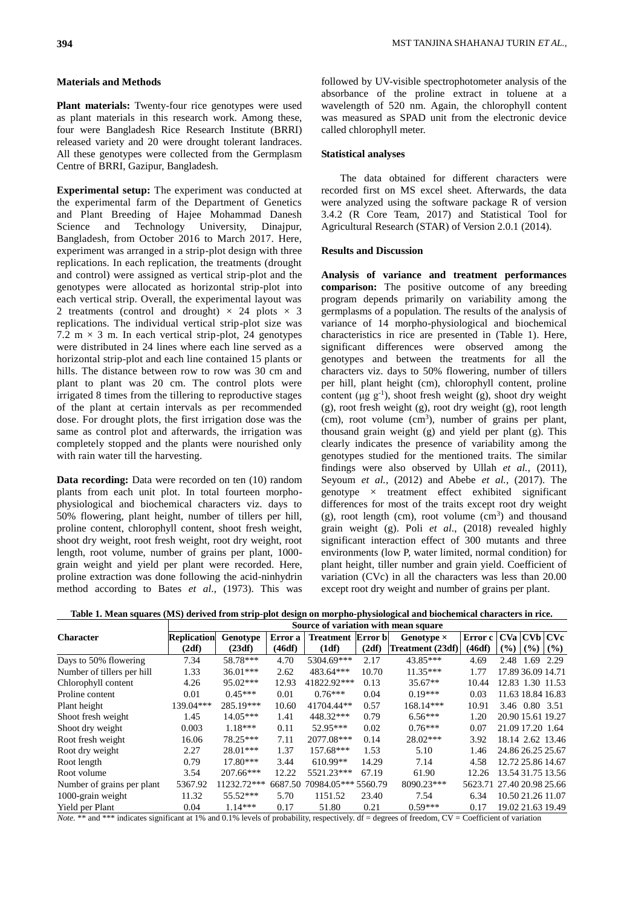### **Materials and Methods**

**Plant materials:** Twenty-four rice genotypes were used as plant materials in this research work. Among these, four were Bangladesh Rice Research Institute (BRRI) released variety and 20 were drought tolerant landraces. All these genotypes were collected from the Germplasm Centre of BRRI, Gazipur, Bangladesh.

**Experimental setup:** The experiment was conducted at the experimental farm of the Department of Genetics and Plant Breeding of Hajee Mohammad Danesh Science and Technology University, Dinajpur, Bangladesh, from October 2016 to March 2017. Here, experiment was arranged in a strip-plot design with three replications. In each replication, the treatments (drought and control) were assigned as vertical strip-plot and the genotypes were allocated as horizontal strip-plot into each vertical strip. Overall, the experimental layout was 2 treatments (control and drought)  $\times$  24 plots  $\times$  3 replications. The individual vertical strip-plot size was 7.2 m  $\times$  3 m. In each vertical strip-plot, 24 genotypes were distributed in 24 lines where each line served as a horizontal strip-plot and each line contained 15 plants or hills. The distance between row to row was 30 cm and plant to plant was 20 cm. The control plots were irrigated 8 times from the tillering to reproductive stages of the plant at certain intervals as per recommended dose. For drought plots, the first irrigation dose was the same as control plot and afterwards, the irrigation was completely stopped and the plants were nourished only with rain water till the harvesting.

**Data recording:** Data were recorded on ten (10) random plants from each unit plot. In total fourteen morphophysiological and biochemical characters viz. days to 50% flowering, plant height, number of tillers per hill, proline content, chlorophyll content, shoot fresh weight, shoot dry weight, root fresh weight, root dry weight, root length, root volume, number of grains per plant, 1000 grain weight and yield per plant were recorded. Here, proline extraction was done following the acid-ninhydrin method according to Bates *et al*., (1973). This was followed by UV-visible spectrophotometer analysis of the absorbance of the proline extract in toluene at a wavelength of 520 nm. Again, the chlorophyll content was measured as SPAD unit from the electronic device called chlorophyll meter.

### **Statistical analyses**

The data obtained for different characters were recorded first on MS excel sheet. Afterwards, the data were analyzed using the software package R of version 3.4.2 (R Core Team, 2017) and Statistical Tool for Agricultural Research (STAR) of Version 2.0.1 (2014).

### **Results and Discussion**

**Analysis of variance and treatment performances comparison:** The positive outcome of any breeding program depends primarily on variability among the germplasms of a population. The results of the analysis of variance of 14 morpho-physiological and biochemical characteristics in rice are presented in (Table 1). Here, significant differences were observed among the genotypes and between the treatments for all the characters viz. days to 50% flowering, number of tillers per hill, plant height (cm), chlorophyll content, proline content ( $\mu$ g g<sup>-1</sup>), shoot fresh weight (g), shoot dry weight (g), root fresh weight (g), root dry weight (g), root length  $(cm)$ , root volume  $(cm^3)$ , number of grains per plant, thousand grain weight (g) and yield per plant (g). This clearly indicates the presence of variability among the genotypes studied for the mentioned traits. The similar findings were also observed by Ullah *et al.*[, \(2011\)](file:///C:/Users/DELL/Desktop/Removable%20Disk/MSTURIN/Review-drought/Genetic%20Variability,%20Heritability,%20Correlation%20Coefficient%20and%20Path%20Analysis%20for%20Yield%20and%20Yield%20Related%20Traits%20in%20Upland%20Rice%20((I)Oryza%20sativa(_I)%20L.).htm%23762002_ja), Seyoum *et al.*, (2012) and Abebe *et al.*, (2017). The genotype  $\times$  treatment effect exhibited significant differences for most of the traits except root dry weight  $(g)$ , root length (cm), root volume (cm<sup>3</sup>) and thousand grain weight (g). Poli *et al*., (2018) revealed highly significant interaction effect of 300 mutants and three environments (low P, water limited, normal condition) for plant height, tiller number and grain yield. Coefficient of variation (CVc) in all the characters was less than 20.00 except root dry weight and number of grains per plant.

|  |  | Table 1. Mean squares (MS) derived from strip-plot design on morpho-physiological and biochemical characters in rice. |
|--|--|-----------------------------------------------------------------------------------------------------------------------|
|--|--|-----------------------------------------------------------------------------------------------------------------------|

|                            | Source of variation with mean square |             |         |                           |       |                   |                           |                   |                   |                   |
|----------------------------|--------------------------------------|-------------|---------|---------------------------|-------|-------------------|---------------------------|-------------------|-------------------|-------------------|
| <b>Character</b>           | <b>Replication</b>                   | Genotype    | Error a | <b>Treatment Error bl</b> |       | Genotype $\times$ | Error c                   |                   |                   | CVa CVb CVc       |
|                            | (2df)                                | (23df)      | (46df)  | (1df)                     | (2df) | Treatment (23df)  | (46df)                    | (%)               | $($ %)            | (%)               |
| Days to 50% flowering      | 7.34                                 | 58.78***    | 4.70    | 5304.69***                | 2.17  | 43.85***          | 4.69                      | 2.48              | 1.69              | 2.29              |
| Number of tillers per hill | 1.33                                 | $36.01***$  | 2.62    | 483.64***                 | 10.70 | $11.35***$        | 1.77                      |                   | 17.89 36.09 14.71 |                   |
| Chlorophyll content        | 4.26                                 | $95.02***$  | 12.93   | 41822.92***               | 0.13  | $35.67**$         | 10.44                     |                   |                   | 12.83 1.30 11.53  |
| Proline content            | 0.01                                 | $0.45***$   | 0.01    | $0.76***$                 | 0.04  | $0.19***$         | 0.03                      |                   |                   | 11.63 18.84 16.83 |
| Plant height               | 139.04***                            | 285.19***   | 10.60   | 41704.44**                | 0.57  | 168.14***         | 10.91                     |                   | 3.46 0.80 3.51    |                   |
| Shoot fresh weight         | 1.45                                 | $14.05***$  | 1.41    | 448.32***                 | 0.79  | $6.56***$         | 1.20                      | 20.90 15.61 19.27 |                   |                   |
| Shoot dry weight           | 0.003                                | $1.18***$   | 0.11    | 52.95***                  | 0.02  | $0.76***$         | 0.07                      | 21.09 17.20 1.64  |                   |                   |
| Root fresh weight          | 16.06                                | 78.25***    | 7.11    | 2077.08***                | 0.14  | $28.02***$        | 3.92                      |                   |                   | 18.14 2.62 13.46  |
| Root dry weight            | 2.27                                 | $28.01***$  | 1.37    | 157.68***                 | 1.53  | 5.10              | 1.46                      | 24.86 26.25 25.67 |                   |                   |
| Root length                | 0.79                                 | $17.80***$  | 3.44    | $610.99**$                | 14.29 | 7.14              | 4.58                      |                   |                   | 12.72 25.86 14.67 |
| Root volume                | 3.54                                 | 207.66***   | 12.22   | 5521.23***                | 67.19 | 61.90             | 12.26                     |                   |                   | 13.54 31.75 13.56 |
| Number of grains per plant | 5367.92                              | 11232.72*** | 6687.50 | 70984.05*** 5560.79       |       | 8090.23***        | 5623.71 27.40 20.98 25.66 |                   |                   |                   |
| 1000-grain weight          | 11.32                                | $55.52***$  | 5.70    | 1151.52                   | 23.40 | 7.54              | 6.34                      |                   | 10.50 21.26 11.07 |                   |
| Yield per Plant            | 0.04                                 | $1.14***$   | 0.17    | 51.80                     | 0.21  | $0.59***$         | 0.17                      |                   |                   | 19.02 21.63 19.49 |

*Note.* \*\* and \*\*\* indicates significant at 1% and 0.1% levels of probability, respectively. df = degrees of freedom, CV = Coefficient of variation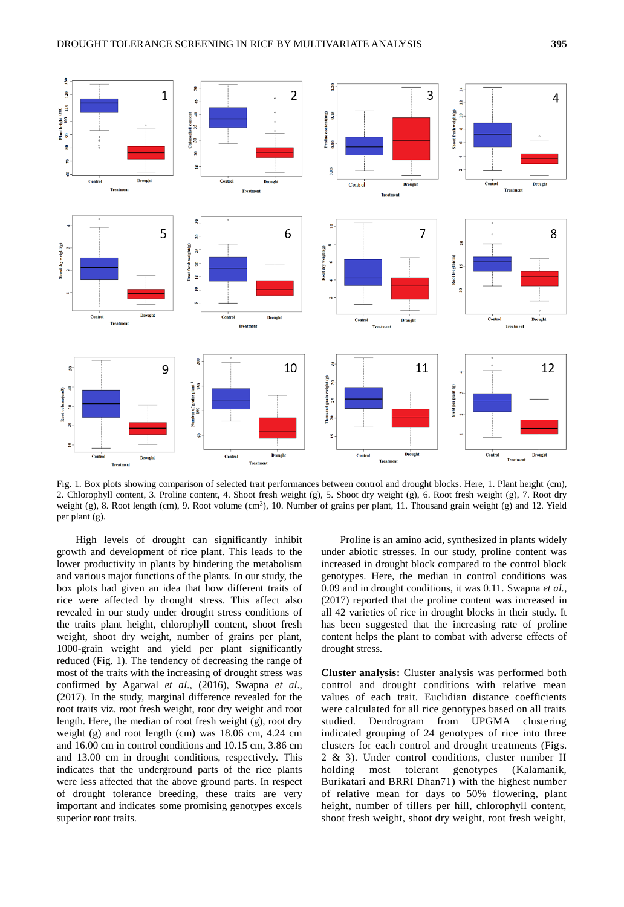

Fig. 1. Box plots showing comparison of selected trait performances between control and drought blocks. Here, 1. Plant height (cm), 2. Chlorophyll content, 3. Proline content, 4. Shoot fresh weight (g), 5. Shoot dry weight (g), 6. Root fresh weight (g), 7. Root dry weight (g), 8. Root length (cm), 9. Root volume (cm<sup>3</sup>), 10. Number of grains per plant, 11. Thousand grain weight (g) and 12. Yield per plant (g).

High levels of drought can significantly inhibit growth and development of rice plant. This leads to the lower productivity in plants by hindering the metabolism and various major functions of the plants. In our study, the box plots had given an idea that how different traits of rice were affected by drought stress. This affect also revealed in our study under drought stress conditions of the traits plant height, chlorophyll content, shoot fresh weight, shoot dry weight, number of grains per plant, 1000-grain weight and yield per plant significantly reduced (Fig. 1). The tendency of decreasing the range of most of the traits with the increasing of drought stress was confirmed by Agarwal *et al*., (2016), Swapna *et al*., (2017). In the study, marginal difference revealed for the root traits viz. root fresh weight, root dry weight and root length. Here, the median of root fresh weight (g), root dry weight (g) and root length (cm) was 18.06 cm, 4.24 cm and 16.00 cm in control conditions and 10.15 cm, 3.86 cm and 13.00 cm in drought conditions, respectively. This indicates that the underground parts of the rice plants were less affected that the above ground parts. In respect of drought tolerance breeding, these traits are very important and indicates some promising genotypes excels superior root traits.

Proline is an amino acid, synthesized in plants widely under abiotic stresses. In our study, proline content was increased in drought block compared to the control block genotypes. Here, the median in control conditions was 0.09 and in drought conditions, it was 0.11. Swapna *et al.*, (2017) reported that the proline content was increased in all 42 varieties of rice in drought blocks in their study. It has been suggested that the increasing rate of proline content helps the plant to combat with adverse effects of drought stress.

**Cluster analysis:** Cluster analysis was performed both control and drought conditions with relative mean values of each trait. Euclidian distance coefficients were calculated for all rice genotypes based on all traits studied. Dendrogram from UPGMA clustering indicated grouping of 24 genotypes of rice into three clusters for each control and drought treatments (Figs. 2 & 3). Under control conditions, cluster number II holding most tolerant genotypes (Kalamanik, Burikatari and BRRI Dhan71) with the highest number of relative mean for days to 50% flowering, plant height, number of tillers per hill, chlorophyll content, shoot fresh weight, shoot dry weight, root fresh weight,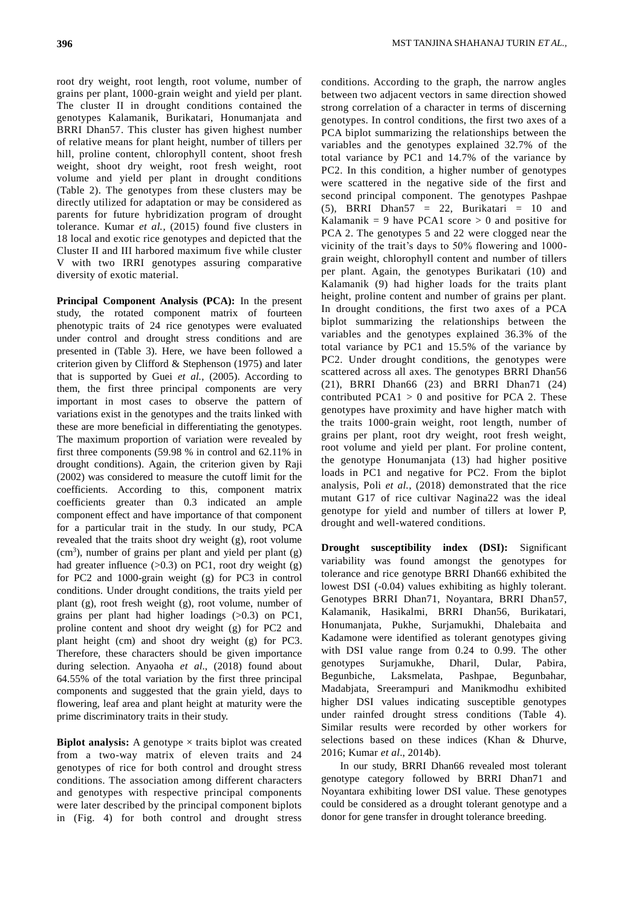root dry weight, root length, root volume, number of grains per plant, 1000-grain weight and yield per plant. The cluster II in drought conditions contained the genotypes Kalamanik, Burikatari, Honumanjata and BRRI Dhan57. This cluster has given highest number of relative means for plant height, number of tillers per hill, proline content, chlorophyll content, shoot fresh weight, shoot dry weight, root fresh weight, root volume and yield per plant in drought conditions (Table 2). The genotypes from these clusters may be directly utilized for adaptation or may be considered as parents for future hybridization program of drought tolerance. Kumar *et al.*, (2015) found five clusters in 18 local and exotic rice genotypes and depicted that the Cluster II and III harbored maximum five while cluster V with two IRRI genotypes assuring comparative diversity of exotic material.

**Principal Component Analysis (PCA):** In the present study, the rotated component matrix of fourteen phenotypic traits of 24 rice genotypes were evaluated under control and drought stress conditions and are presented in (Table 3). Here, we have been followed a criterion given by Clifford & Stephenson (1975) and later that is supported by Guei *et al.*, (2005). According to them, the first three principal components are very important in most cases to observe the pattern of variations exist in the genotypes and the traits linked with these are more beneficial in differentiating the genotypes. The maximum proportion of variation were revealed by first three components (59.98 % in control and 62.11% in drought conditions). Again, the criterion given by Raji (2002) was considered to measure the cutoff limit for the coefficients. According to this, component matrix coefficients greater than 0.3 indicated an ample component effect and have importance of that component for a particular trait in the study. In our study, PCA revealed that the traits shoot dry weight (g), root volume  $(cm<sup>3</sup>)$ , number of grains per plant and yield per plant  $(g)$ had greater influence  $(0.3)$  on PC1, root dry weight  $(g)$ for PC2 and 1000-grain weight (g) for PC3 in control conditions. Under drought conditions, the traits yield per plant (g), root fresh weight (g), root volume, number of grains per plant had higher loadings (>0.3) on PC1, proline content and shoot dry weight (g) for PC2 and plant height (cm) and shoot dry weight (g) for PC3. Therefore, these characters should be given importance during selection. Anyaoha *et al*., (2018) found about 64.55% of the total variation by the first three principal components and suggested that the grain yield, days to flowering, leaf area and plant height at maturity were the prime discriminatory traits in their study.

**Biplot analysis:** A genotype  $\times$  traits biplot was created from a two-way matrix of eleven traits and 24 genotypes of rice for both control and drought stress conditions. The association among different characters and genotypes with respective principal components were later described by the principal component biplots in (Fig. 4) for both control and drought stress

conditions. According to the graph, the narrow angles between two adjacent vectors in same direction showed strong correlation of a character in terms of discerning genotypes. In control conditions, the first two axes of a PCA biplot summarizing the relationships between the variables and the genotypes explained 32.7% of the total variance by PC1 and 14.7% of the variance by PC2. In this condition, a higher number of genotypes were scattered in the negative side of the first and second principal component. The genotypes Pashpae  $(5)$ , BRRI Dhan57 = 22, Burikatari = 10 and Kalamanik = 9 have PCA1 score  $> 0$  and positive for PCA 2. The genotypes 5 and 22 were clogged near the vicinity of the trait's days to 50% flowering and 1000 grain weight, chlorophyll content and number of tillers per plant. Again, the genotypes Burikatari (10) and Kalamanik (9) had higher loads for the traits plant height, proline content and number of grains per plant. In drought conditions, the first two axes of a PCA biplot summarizing the relationships between the variables and the genotypes explained 36.3% of the total variance by PC1 and 15.5% of the variance by PC2. Under drought conditions, the genotypes were scattered across all axes. The genotypes BRRI Dhan56 (21), BRRI Dhan66 (23) and BRRI Dhan71 (24) contributed  $PCA1 > 0$  and positive for PCA 2. These genotypes have proximity and have higher match with the traits 1000-grain weight, root length, number of grains per plant, root dry weight, root fresh weight, root volume and yield per plant. For proline content, the genotype Honumanjata (13) had higher positive loads in PC1 and negative for PC2. From the biplot analysis, Poli *et al.*, (2018) demonstrated that the rice mutant G17 of rice cultivar Nagina22 was the ideal genotype for yield and number of tillers at lower P, drought and well-watered conditions.

**Drought susceptibility index (DSI):** Significant variability was found amongst the genotypes for tolerance and rice genotype BRRI Dhan66 exhibited the lowest DSI (-0.04) values exhibiting as highly tolerant. Genotypes BRRI Dhan71, Noyantara, BRRI Dhan57, Kalamanik, Hasikalmi, BRRI Dhan56, Burikatari, Honumanjata, Pukhe, Surjamukhi, Dhalebaita and Kadamone were identified as tolerant genotypes giving with DSI value range from 0.24 to 0.99. The other genotypes Surjamukhe, Dharil, Dular, Pabira, Begunbiche, Laksmelata, Pashpae, Begunbahar, Madabjata, Sreerampuri and Manikmodhu exhibited higher DSI values indicating susceptible genotypes under rainfed drought stress conditions (Table 4). Similar results were recorded by other workers for selections based on these indices (Khan & Dhurve, 2016; Kumar *et al*., 2014b).

In our study, BRRI Dhan66 revealed most tolerant genotype category followed by BRRI Dhan71 and Noyantara exhibiting lower DSI value. These genotypes could be considered as a drought tolerant genotype and a donor for gene transfer in drought tolerance breeding.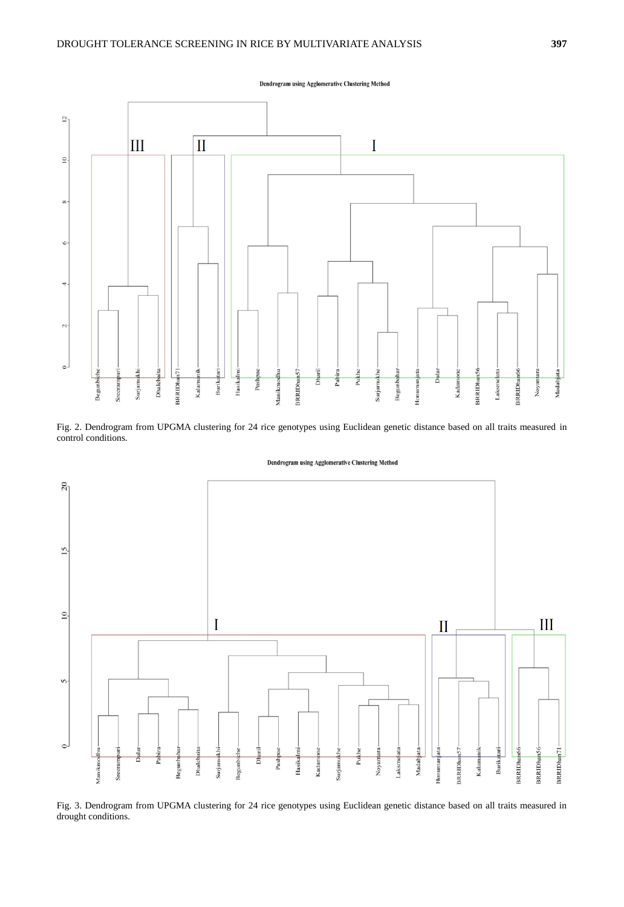Dendrogram using Agglomerative Clustering Method



Fig. 2. Dendrogram from UPGMA clustering for 24 rice genotypes using Euclidean genetic distance based on all traits measured in control conditions.





Fig. 3. Dendrogram from UPGMA clustering for 24 rice genotypes using Euclidean genetic distance based on all traits measured in drought conditions.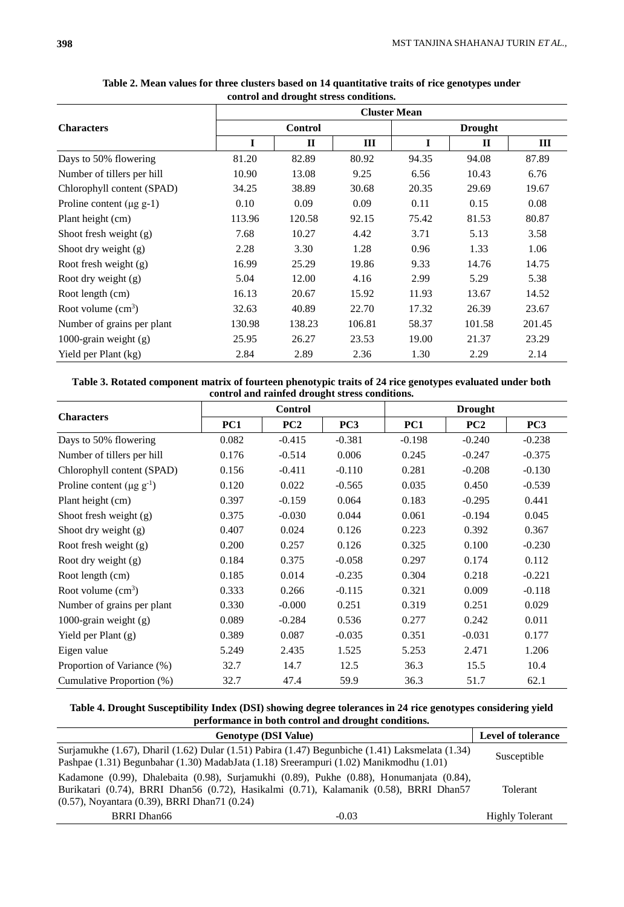|                               | <b>Cluster Mean</b> |              |        |                |              |        |  |  |  |
|-------------------------------|---------------------|--------------|--------|----------------|--------------|--------|--|--|--|
| <b>Characters</b>             |                     | Control      |        | <b>Drought</b> |              |        |  |  |  |
|                               | I                   | $\mathbf{I}$ | Ш      | I              | $\mathbf{I}$ | Ш      |  |  |  |
| Days to 50% flowering         | 81.20               | 82.89        | 80.92  | 94.35          | 94.08        | 87.89  |  |  |  |
| Number of tillers per hill    | 10.90               | 13.08        | 9.25   | 6.56           | 10.43        | 6.76   |  |  |  |
| Chlorophyll content (SPAD)    | 34.25               | 38.89        | 30.68  | 20.35          | 29.69        | 19.67  |  |  |  |
| Proline content $(\mu g g-1)$ | 0.10                | 0.09         | 0.09   | 0.11           | 0.15         | 0.08   |  |  |  |
| Plant height (cm)             | 113.96              | 120.58       | 92.15  | 75.42          | 81.53        | 80.87  |  |  |  |
| Shoot fresh weight $(g)$      | 7.68                | 10.27        | 4.42   | 3.71           | 5.13         | 3.58   |  |  |  |
| Shoot dry weight $(g)$        | 2.28                | 3.30         | 1.28   | 0.96           | 1.33         | 1.06   |  |  |  |
| Root fresh weight (g)         | 16.99               | 25.29        | 19.86  | 9.33           | 14.76        | 14.75  |  |  |  |
| Root dry weight $(g)$         | 5.04                | 12.00        | 4.16   | 2.99           | 5.29         | 5.38   |  |  |  |
| Root length (cm)              | 16.13               | 20.67        | 15.92  | 11.93          | 13.67        | 14.52  |  |  |  |
| Root volume $(cm3)$           | 32.63               | 40.89        | 22.70  | 17.32          | 26.39        | 23.67  |  |  |  |
| Number of grains per plant    | 130.98              | 138.23       | 106.81 | 58.37          | 101.58       | 201.45 |  |  |  |
| 1000-grain weight $(g)$       | 25.95               | 26.27        | 23.53  | 19.00          | 21.37        | 23.29  |  |  |  |
| Yield per Plant (kg)          | 2.84                | 2.89         | 2.36   | 1.30           | 2.29         | 2.14   |  |  |  |

**Table 2. Mean values for three clusters based on 14 quantitative traits of rice genotypes under control and drought stress conditions.**

| Table 3. Rotated component matrix of fourteen phenotypic traits of 24 rice genotypes evaluated under both |
|-----------------------------------------------------------------------------------------------------------|
| control and rainfed drought stress conditions.                                                            |

|                                             |       | <b>Control</b> |                 | <b>Drought</b> |          |                 |  |
|---------------------------------------------|-------|----------------|-----------------|----------------|----------|-----------------|--|
| <b>Characters</b>                           | PC1   | PC2            | PC <sub>3</sub> | PC1            | PC2      | PC <sub>3</sub> |  |
| Days to 50% flowering                       | 0.082 | $-0.415$       | $-0.381$        | $-0.198$       | $-0.240$ | $-0.238$        |  |
| Number of tillers per hill                  | 0.176 | $-0.514$       | 0.006           | 0.245          | $-0.247$ | $-0.375$        |  |
| Chlorophyll content (SPAD)                  | 0.156 | $-0.411$       | $-0.110$        | 0.281          | $-0.208$ | $-0.130$        |  |
| Proline content ( $\mu$ g g <sup>-1</sup> ) | 0.120 | 0.022          | $-0.565$        | 0.035          | 0.450    | $-0.539$        |  |
| Plant height (cm)                           | 0.397 | $-0.159$       | 0.064           | 0.183          | $-0.295$ | 0.441           |  |
| Shoot fresh weight $(g)$                    | 0.375 | $-0.030$       | 0.044           | 0.061          | $-0.194$ | 0.045           |  |
| Shoot dry weight $(g)$                      | 0.407 | 0.024          | 0.126           | 0.223          | 0.392    | 0.367           |  |
| Root fresh weight (g)                       | 0.200 | 0.257          | 0.126           | 0.325          | 0.100    | $-0.230$        |  |
| Root dry weight (g)                         | 0.184 | 0.375          | $-0.058$        | 0.297          | 0.174    | 0.112           |  |
| Root length (cm)                            | 0.185 | 0.014          | $-0.235$        | 0.304          | 0.218    | $-0.221$        |  |
| Root volume $(cm3)$                         | 0.333 | 0.266          | $-0.115$        | 0.321          | 0.009    | $-0.118$        |  |
| Number of grains per plant                  | 0.330 | $-0.000$       | 0.251           | 0.319          | 0.251    | 0.029           |  |
| 1000-grain weight $(g)$                     | 0.089 | $-0.284$       | 0.536           | 0.277          | 0.242    | 0.011           |  |
| Yield per Plant (g)                         | 0.389 | 0.087          | $-0.035$        | 0.351          | $-0.031$ | 0.177           |  |
| Eigen value                                 | 5.249 | 2.435          | 1.525           | 5.253          | 2.471    | 1.206           |  |
| Proportion of Variance (%)                  | 32.7  | 14.7           | 12.5            | 36.3           | 15.5     | 10.4            |  |
| Cumulative Proportion (%)                   | 32.7  | 47.4           | 59.9            | 36.3           | 51.7     | 62.1            |  |

**Table 4. Drought Susceptibility Index (DSI) showing degree tolerances in 24 rice genotypes considering yield performance in both control and drought conditions.**

| <b>Genotype (DSI Value)</b>                                                                                                                                                                                                                   |         | Level of tolerance     |
|-----------------------------------------------------------------------------------------------------------------------------------------------------------------------------------------------------------------------------------------------|---------|------------------------|
| Surjamukhe (1.67), Dharil (1.62) Dular (1.51) Pabira (1.47) Begunbiche (1.41) Laksmelata (1.34)<br>Pashpae (1.31) Begunbahar (1.30) MadabJata (1.18) Sreerampuri (1.02) Manikmodhu (1.01)                                                     |         | Susceptible            |
| Kadamone (0.99), Dhalebaita (0.98), Surjamukhi (0.89), Pukhe (0.88), Honumanjata (0.84),<br>Burikatari (0.74), BRRI Dhan56 (0.72), Hasikalmi (0.71), Kalamanik (0.58), BRRI Dhan57<br>$(0.57)$ , Noyantara $(0.39)$ , BRRI Dhan $71$ $(0.24)$ |         | Tolerant               |
| <b>BRRI</b> Dhan66                                                                                                                                                                                                                            | $-0.03$ | <b>Highly Tolerant</b> |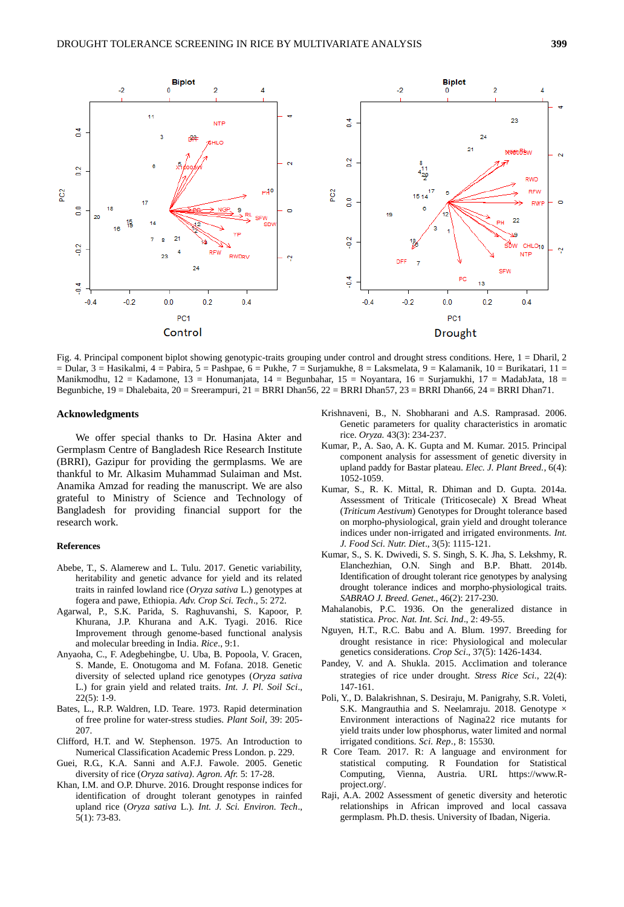

Fig. 4. Principal component biplot showing genotypic-traits grouping under control and drought stress conditions. Here, 1 = Dharil, 2 = Dular, 3 = Hasikalmi, 4 = Pabira, 5 = Pashpae, 6 = Pukhe, 7 = Surjamukhe, 8 = Laksmelata, 9 = Kalamanik, 10 = Burikatari, 11 = Manikmodhu, 12 = Kadamone, 13 = Honumanjata, 14 = Begunbahar, 15 = Noyantara, 16 = Surjamukhi, 17 = MadabJata, 18 = Begunbiche, 19 = Dhalebaita, 20 = Sreerampuri, 21 = BRRI Dhan56, 22 = BRRI Dhan57, 23 = BRRI Dhan66, 24 = BRRI Dhan71.

#### **Acknowledgments**

We offer special thanks to Dr. Hasina Akter and Germplasm Centre of Bangladesh Rice Research Institute (BRRI), Gazipur for providing the germplasms. We are thankful to Mr. Alkasim Muhammad Sulaiman and Mst. Anamika Amzad for reading the manuscript. We are also grateful to Ministry of Science and Technology of Bangladesh for providing financial support for the research work.

#### **References**

- Abebe, T., S. Alamerew and L. Tulu. 2017. Genetic variability, heritability and genetic advance for yield and its related traits in rainfed lowland rice (*Oryza sativa* L.) genotypes at fogera and pawe, Ethiopia. *Adv. Crop Sci. Tech*., 5: 272.
- Agarwal, P., S.K. Parida, S. Raghuvanshi, S. Kapoor, P. Khurana, J.P. Khurana and A.K. Tyagi. 2016. Rice Improvement through genome-based functional analysis and molecular breeding in India. *Rice*., 9:1.
- Anyaoha, C., F. Adegbehingbe, U. Uba, B. Popoola, V. Gracen, S. Mande, E. Onotugoma and M. Fofana. 2018. Genetic diversity of selected upland rice genotypes (*Oryza sativa* L.) for grain yield and related traits. *Int. J. Pl. Soil Sci*., 22(5): 1-9.
- Bates, L., R.P. Waldren, I.D. Teare. 1973. Rapid determination of free proline for water-stress studies. *Plant Soil*, 39: 205- 207.
- Clifford, H.T. and W. Stephenson. 1975. An Introduction to Numerical Classification Academic Press London. p. 229.
- Guei, R.G., K.A. Sanni and A.F.J. Fawole. 2005. Genetic diversity of rice (*Oryza sativa)*. *Agron. Afr.* 5: 17-28.
- Khan, I.M. and O.P. Dhurve. 2016. Drought response indices for identification of drought tolerant genotypes in rainfed upland rice (*Oryza sativa* L.)*. Int. J. Sci. Environ. Tech*., 5(1): 73-83.
- Krishnaveni, B., N. Shobharani and A.S. Ramprasad. 2006. Genetic parameters for quality characteristics in aromatic rice. *Oryza.* 43(3): 234-237.
- Kumar, P., A. Sao, A. K. Gupta and M. Kumar. 2015. Principal component analysis for assessment of genetic diversity in upland paddy for Bastar plateau. *Elec. J. Plant Breed.*, 6(4): 1052-1059.
- Kumar, S., R. K. Mittal, R. Dhiman and D. Gupta. 2014a. Assessment of Triticale (Triticosecale) X Bread Wheat (*Triticum Aestivum*) Genotypes for Drought tolerance based on morpho-physiological, grain yield and drought tolerance indices under non-irrigated and irrigated environments. *Int. J. Food Sci. Nutr. Diet*., 3(5): 1115-121.
- Kumar, S., S. K. Dwivedi, S. S. Singh, S. K. Jha, S. Lekshmy, R. Elanchezhian, O.N. Singh and B.P. Bhatt. 2014b. Identification of drought tolerant rice genotypes by analysing drought tolerance indices and morpho-physiological traits. *SABRAO J. Breed. Genet*., 46(2): 217-230.
- Mahalanobis, P.C. 1936. On the generalized distance in statistica. *Proc. Nat. Int. Sci. Ind*., 2: 49-55.
- Nguyen, H.T., R.C. Babu and A. Blum. 1997. Breeding for drought resistance in rice: Physiological and molecular genetics considerations. *Crop Sci*., 37(5): 1426-1434.
- Pandey, V. and A. Shukla. 2015. Acclimation and tolerance strategies of rice under drought. *Stress Rice Sci.*, 22(4): 147-161.
- Poli, Y., D. Balakrishnan, S. Desiraju, M. Panigrahy, S.R. Voleti, S.K. Mangrauthia and S. Neelamraju. 2018. Genotype  $\times$ Environment interactions of Nagina22 rice mutants for yield traits under low phosphorus, water limited and normal irrigated conditions. *Sci. Rep*., 8: 15530.
- R Core Team. 2017. R: A language and environment for statistical computing. R Foundation for Statistical Computing, Vienna, Austria. URL [https://www.R](https://www.r-project.org/)[project.org/.](https://www.r-project.org/)
- Raji, A.A. 2002 Assessment of genetic diversity and heterotic relationships in African improved and local cassava germplasm. Ph.D. thesis. University of Ibadan, Nigeria.